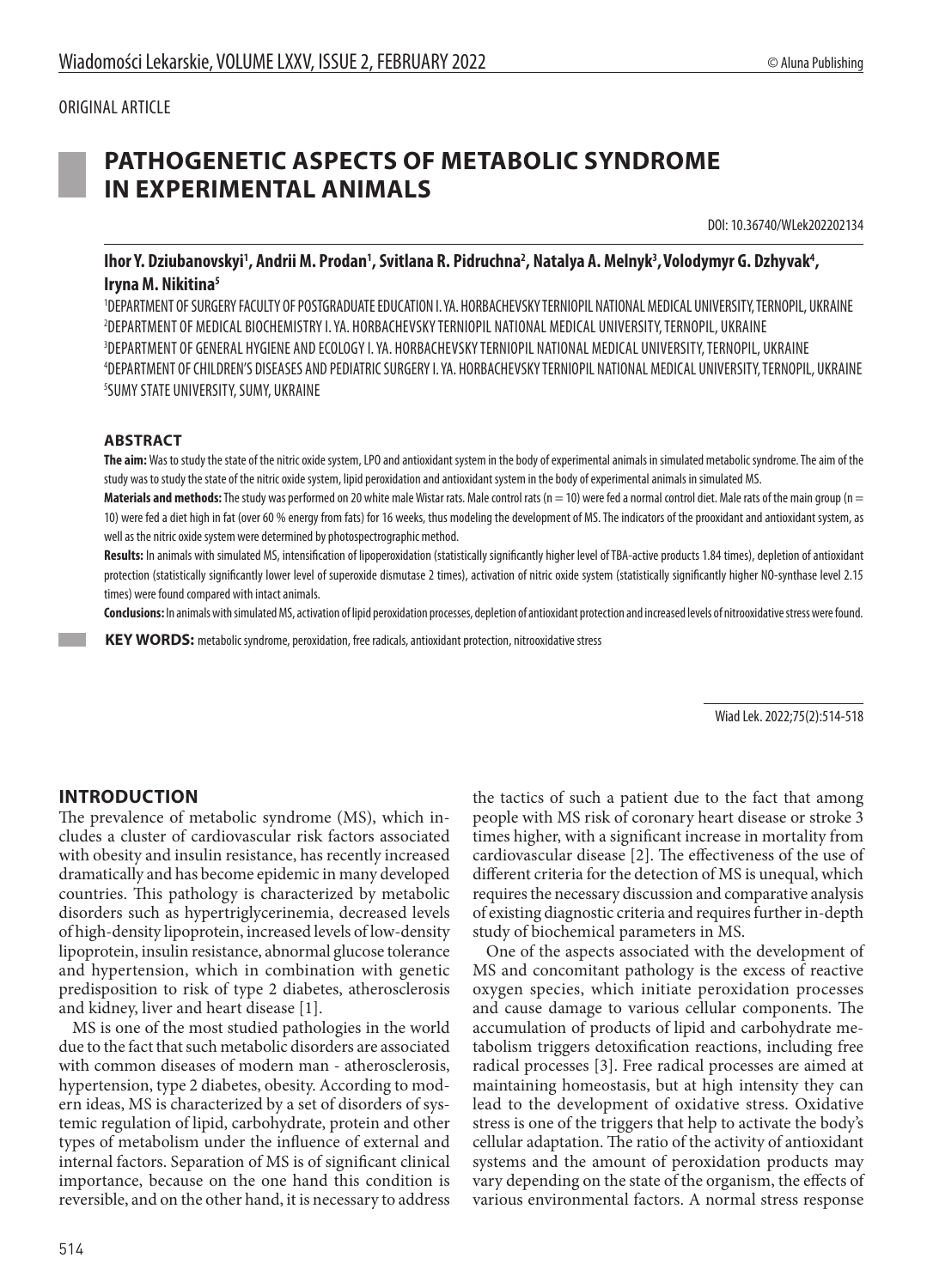# ORIGINAL ARTICLE

# **PATHOGENETIC ASPECTS OF METABOLIC SYNDROME IN EXPERIMENTAL ANIMALS**

DOI: 10.36740/WLek202202134

lhor Y. Dziubanovskyi', Andrii M. Prodan', Svitlana R. Pidruchna<sup>2</sup>, Natalya A. Melnyk<sup>3</sup>, Volodymyr G. Dzhyvak<sup>4</sup>, **Iryna M. Nikitina5**

 DEPARTMENT OF SURGERY FACULTY OF POSTGRADUATE EDUCATION I. YA. HORBACHEVSKY TERNIOPIL NATIONAL MEDICAL UNIVERSITY, TERNOPIL, UKRAINE DEPARTMENT OF MEDICAL BIOCHEMISTRY I. YA. HORBACHEVSKY TERNIOPIL NATIONAL MEDICAL UNIVERSITY, TERNOPIL, UKRAINE DEPARTMENT OF GENERAL HYGIENE AND ECOLOGY I. YA. HORBACHEVSKY TERNIOPIL NATIONAL MEDICAL UNIVERSITY, TERNOPIL, UKRAINE DEPARTMENT OF CHILDREN'S DISEASES AND PEDIATRIC SURGERY I. YA. HORBACHEVSKY TERNIOPIL NATIONAL MEDICAL UNIVERSITY, TERNOPIL, UKRAINE SUMY STATE UNIVERSITY, SUMY, UKRAINE

### **ABSTRACT**

**The aim:** Was to study the state of the nitric oxide system, LPO and antioxidant system in the body of experimental animals in simulated metabolic syndrome. The aim of the study was to study the state of the nitric oxide system, lipid peroxidation and antioxidant system in the body of experimental animals in simulated MS.

Materials and methods: The study was performed on 20 white male Wistar rats. Male control rats (n = 10) were fed a normal control diet. Male rats of the main group (n = 10) were fed a diet high in fat (over 60 % energy from fats) for 16 weeks, thus modeling the development of MS. The indicators of the prooxidant and antioxidant system, as well as the nitric oxide system were determined by photospectrographic method.

**Results:** In animals with simulated MS, intensification of lipoperoxidation (statistically significantly higher level of TBA-active products 1.84 times), depletion of antioxidant protection (statistically significantly lower level of superoxide dismutase 2 times), activation of nitric oxide system (statistically significantly higher NO-synthase level 2.15 times) were found compared with intact animals.

**Conclusions:** In animals with simulated MS, activation of lipid peroxidation processes, depletion of antioxidant protection and increased levels of nitrooxidative stress were found.

KEY WORDS: metabolic syndrome, peroxidation, free radicals, antioxidant protection, nitrooxidative stress

Wiad Lek. 2022;75(2):514-518

# **INTRODUCTION**

The prevalence of metabolic syndrome (MS), which includes a cluster of cardiovascular risk factors associated with obesity and insulin resistance, has recently increased dramatically and has become epidemic in many developed countries. This pathology is characterized by metabolic disorders such as hypertriglycerinemia, decreased levels of high-density lipoprotein, increased levels of low-density lipoprotein, insulin resistance, abnormal glucose tolerance and hypertension, which in combination with genetic predisposition to risk of type 2 diabetes, atherosclerosis and kidney, liver and heart disease [1].

MS is one of the most studied pathologies in the world due to the fact that such metabolic disorders are associated with common diseases of modern man - atherosclerosis, hypertension, type 2 diabetes, obesity. According to modern ideas, MS is characterized by a set of disorders of systemic regulation of lipid, carbohydrate, protein and other types of metabolism under the influence of external and internal factors. Separation of MS is of significant clinical importance, because on the one hand this condition is reversible, and on the other hand, it is necessary to address the tactics of such a patient due to the fact that among people with MS risk of coronary heart disease or stroke 3 times higher, with a significant increase in mortality from cardiovascular disease [2]. The effectiveness of the use of different criteria for the detection of MS is unequal, which requires the necessary discussion and comparative analysis of existing diagnostic criteria and requires further in-depth study of biochemical parameters in MS.

One of the aspects associated with the development of MS and concomitant pathology is the excess of reactive oxygen species, which initiate peroxidation processes and cause damage to various cellular components. The accumulation of products of lipid and carbohydrate metabolism triggers detoxification reactions, including free radical processes [3]. Free radical processes are aimed at maintaining homeostasis, but at high intensity they can lead to the development of oxidative stress. Oxidative stress is one of the triggers that help to activate the body's cellular adaptation. The ratio of the activity of antioxidant systems and the amount of peroxidation products may vary depending on the state of the organism, the effects of various environmental factors. A normal stress response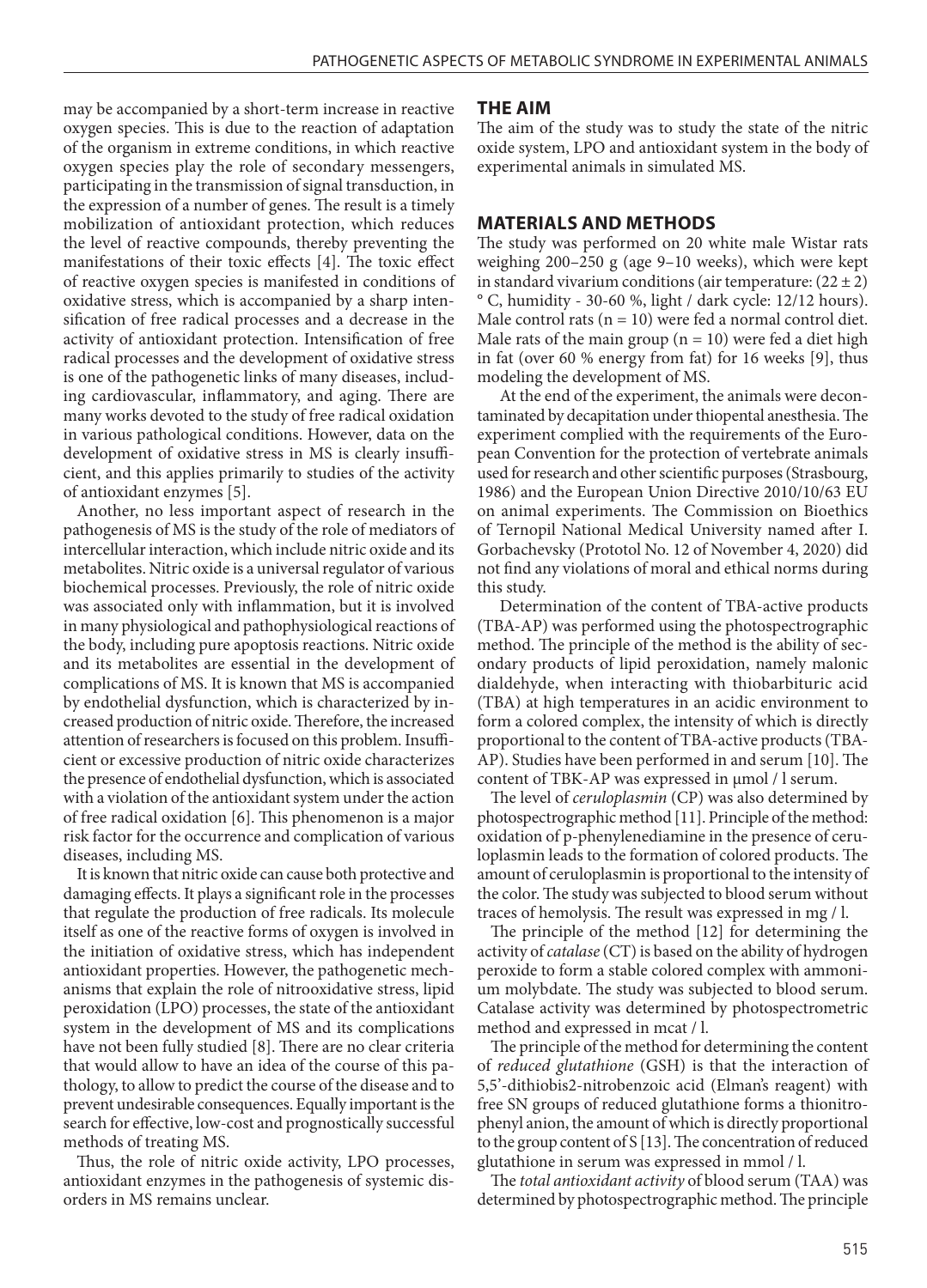may be accompanied by a short-term increase in reactive oxygen species. This is due to the reaction of adaptation of the organism in extreme conditions, in which reactive oxygen species play the role of secondary messengers, participating in the transmission of signal transduction, in the expression of a number of genes. The result is a timely mobilization of antioxidant protection, which reduces the level of reactive compounds, thereby preventing the manifestations of their toxic effects [4]. The toxic effect of reactive oxygen species is manifested in conditions of oxidative stress, which is accompanied by a sharp intensification of free radical processes and a decrease in the activity of antioxidant protection. Intensification of free radical processes and the development of oxidative stress is one of the pathogenetic links of many diseases, including cardiovascular, inflammatory, and aging. There are many works devoted to the study of free radical oxidation in various pathological conditions. However, data on the development of oxidative stress in MS is clearly insufficient, and this applies primarily to studies of the activity of antioxidant enzymes [5].

Another, no less important aspect of research in the pathogenesis of MS is the study of the role of mediators of intercellular interaction, which include nitric oxide and its metabolites. Nitric oxide is a universal regulator of various biochemical processes. Previously, the role of nitric oxide was associated only with inflammation, but it is involved in many physiological and pathophysiological reactions of the body, including pure apoptosis reactions. Nitric oxide and its metabolites are essential in the development of complications of MS. It is known that MS is accompanied by endothelial dysfunction, which is characterized by increased production of nitric oxide. Therefore, the increased attention of researchers is focused on this problem. Insufficient or excessive production of nitric oxide characterizes the presence of endothelial dysfunction, which is associated with a violation of the antioxidant system under the action of free radical oxidation [6]. This phenomenon is a major risk factor for the occurrence and complication of various diseases, including MS.

It is known that nitric oxide can cause both protective and damaging effects. It plays a significant role in the processes that regulate the production of free radicals. Its molecule itself as one of the reactive forms of oxygen is involved in the initiation of oxidative stress, which has independent antioxidant properties. However, the pathogenetic mechanisms that explain the role of nitrooxidative stress, lipid peroxidation (LPO) processes, the state of the antioxidant system in the development of MS and its complications have not been fully studied [8]. There are no clear criteria that would allow to have an idea of the course of this pathology, to allow to predict the course of the disease and to prevent undesirable consequences. Equally important is the search for effective, low-cost and prognostically successful methods of treating MS.

Thus, the role of nitric oxide activity, LPO processes, antioxidant enzymes in the pathogenesis of systemic disorders in MS remains unclear.

#### **THE AIM**

The aim of the study was to study the state of the nitric oxide system, LPO and antioxidant system in the body of experimental animals in simulated MS.

#### **MATERIALS AND METHODS**

The study was performed on 20 white male Wistar rats weighing 200–250 g (age 9–10 weeks), which were kept in standard vivarium conditions (air temperature:  $(22 \pm 2)$ ) ° C, humidity - 30-60 %, light / dark cycle: 12/12 hours). Male control rats ( $n = 10$ ) were fed a normal control diet. Male rats of the main group ( $n = 10$ ) were fed a diet high in fat (over 60 % energy from fat) for 16 weeks [9], thus modeling the development of MS.

At the end of the experiment, the animals were decontaminated by decapitation under thiopental anesthesia. The experiment complied with the requirements of the European Convention for the protection of vertebrate animals used for research and other scientific purposes (Strasbourg, 1986) and the European Union Directive 2010/10/63 EU on animal experiments. The Commission on Bioethics of Ternopil National Medical University named after I. Gorbachevsky (Prototol No. 12 of November 4, 2020) did not find any violations of moral and ethical norms during this study.

Determination of the content of TBA-active products (TBA-AP) was performed using the photospectrographic method. The principle of the method is the ability of secondary products of lipid peroxidation, namely malonic dialdehyde, when interacting with thiobarbituric acid (TBA) at high temperatures in an acidic environment to form a colored complex, the intensity of which is directly proportional to the content of TBA-active products (TBA-AP). Studies have been performed in and serum [10]. The content of TBK-AP was expressed in μmol / l serum.

The level of *ceruloplasmin* (CP) was also determined by photospectrographic method [11]. Principle of the method: oxidation of p-phenylenediamine in the presence of ceruloplasmin leads to the formation of colored products. The amount of ceruloplasmin is proportional to the intensity of the color. The study was subjected to blood serum without traces of hemolysis. The result was expressed in mg / l.

The principle of the method [12] for determining the activity of *catalase* (CT) is based on the ability of hydrogen peroxide to form a stable colored complex with ammonium molybdate. The study was subjected to blood serum. Catalase activity was determined by photospectrometric method and expressed in mcat / l.

The principle of the method for determining the content of *reduced glutathione* (GSH) is that the interaction of 5,5'-dithiobis2-nitrobenzoic acid (Elman's reagent) with free SN groups of reduced glutathione forms a thionitrophenyl anion, the amount of which is directly proportional to the group content of S [13]. The concentration of reduced glutathione in serum was expressed in mmol / l.

The *total antioxidant activity* of blood serum (TAA) was determined by photospectrographic method. The principle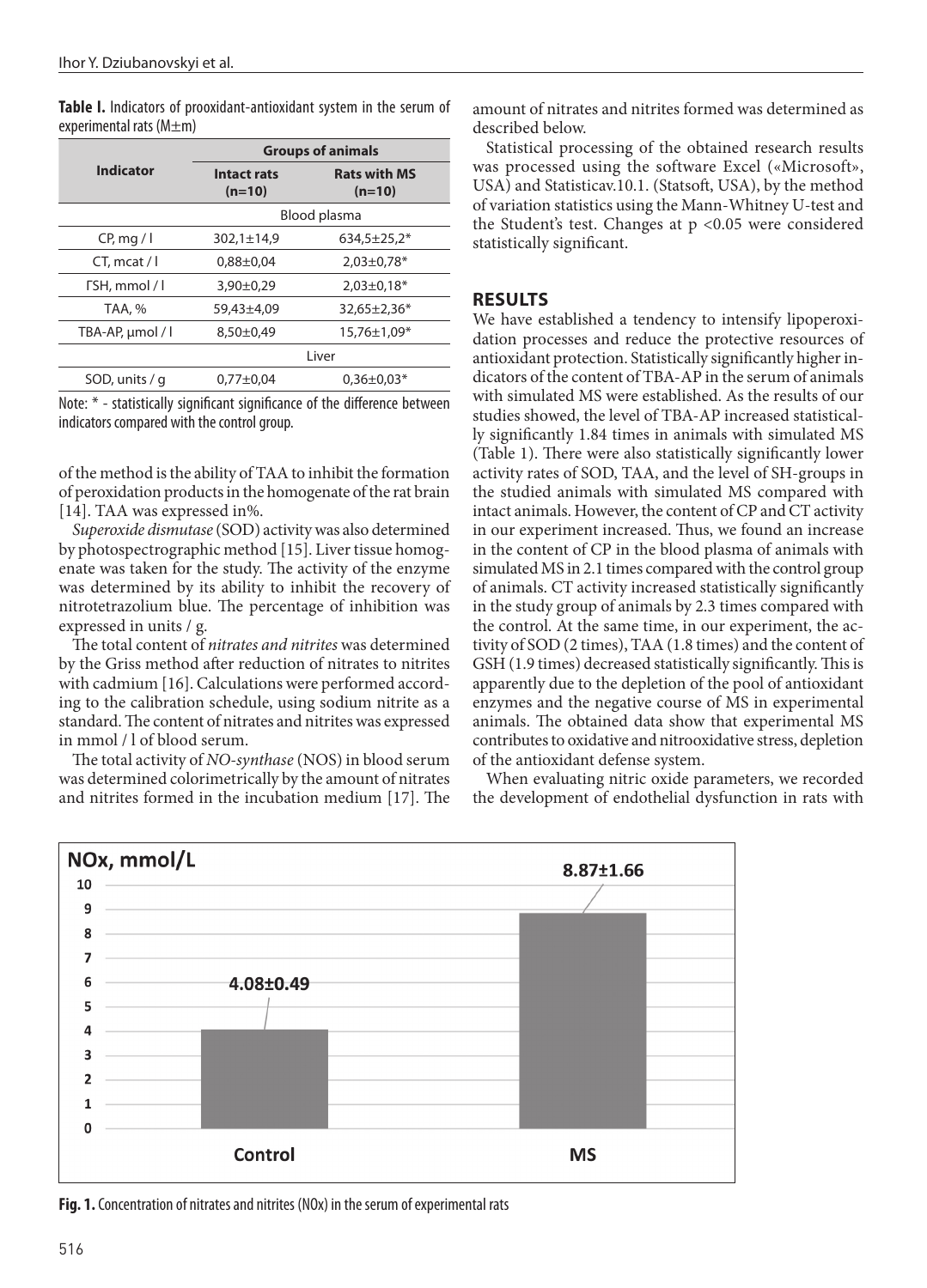| <b>Indicator</b> | <b>Groups of animals</b>       |                                 |
|------------------|--------------------------------|---------------------------------|
|                  | <b>Intact rats</b><br>$(n=10)$ | <b>Rats with MS</b><br>$(n=10)$ |
|                  | Blood plasma                   |                                 |
| CP, mq / I       | $302,1 \pm 14,9$               | $634,5 \pm 25,2*$               |
| $CT$ , mcat / I  | $0,88 \pm 0,04$                | $2,03\pm0,78*$                  |
| TSH, mmol / I    | $3,90\pm0.29$                  | $2,03\pm0,18*$                  |
| TAA, %           | 59,43±4,09                     | $32,65 \pm 2,36*$               |
| TBA-AP, µmol / l | 8,50±0,49                      | $15,76 \pm 1,09*$               |
|                  | Liver                          |                                 |
| SOD, units / q   | $0.77 + 0.04$                  | $0.36 \pm 0.03*$                |

**Table I.** Indicators of prooxidant-antioxidant system in the serum of experimental rats (M±m)

Note: \* - statistically significant significance of the difference between indicators compared with the control group.

of the method is the ability of TAA to inhibit the formation of peroxidation products in the homogenate of the rat brain [14]. TAA was expressed in%.

*Superoxide dismutase* (SOD) activity was also determined by photospectrographic method [15]. Liver tissue homogenate was taken for the study. The activity of the enzyme was determined by its ability to inhibit the recovery of nitrotetrazolium blue. The percentage of inhibition was expressed in units / g.

The total content of *nitrates and nitrites* was determined by the Griss method after reduction of nitrates to nitrites with cadmium [16]. Calculations were performed according to the calibration schedule, using sodium nitrite as a standard. The content of nitrates and nitrites was expressed in mmol / l of blood serum.

The total activity of *NO-synthase* (NOS) in blood serum was determined colorimetrically by the amount of nitrates and nitrites formed in the incubation medium [17]. The amount of nitrates and nitrites formed was determined as described below.

Statistical processing of the obtained research results was processed using the software Excel («Microsoft», USA) and Statisticav.10.1. (Statsoft, USA), by the method of variation statistics using the Mann-Whitney U-test and the Student's test. Changes at p <0.05 were considered statistically significant.

### **RESULTS**

We have established a tendency to intensify lipoperoxidation processes and reduce the protective resources of antioxidant protection. Statistically significantly higher indicators of the content of TBA-AP in the serum of animals with simulated MS were established. As the results of our studies showed, the level of TBA-AP increased statistically significantly 1.84 times in animals with simulated MS (Table 1). There were also statistically significantly lower activity rates of SOD, TAA, and the level of SH-groups in the studied animals with simulated MS compared with intact animals. However, the content of CP and CT activity in our experiment increased. Thus, we found an increase in the content of CP in the blood plasma of animals with simulated MS in 2.1 times compared with the control group of animals. CT activity increased statistically significantly in the study group of animals by 2.3 times compared with the control. At the same time, in our experiment, the activity of SOD (2 times), TAA (1.8 times) and the content of GSH (1.9 times) decreased statistically significantly. This is apparently due to the depletion of the pool of antioxidant enzymes and the negative course of MS in experimental animals. The obtained data show that experimental MS contributes to oxidative and nitrooxidative stress, depletion of the antioxidant defense system.

When evaluating nitric oxide parameters, we recorded the development of endothelial dysfunction in rats with



**Fig. 1.** Concentration of nitrates and nitrites (NOx) in the serum of experimental rats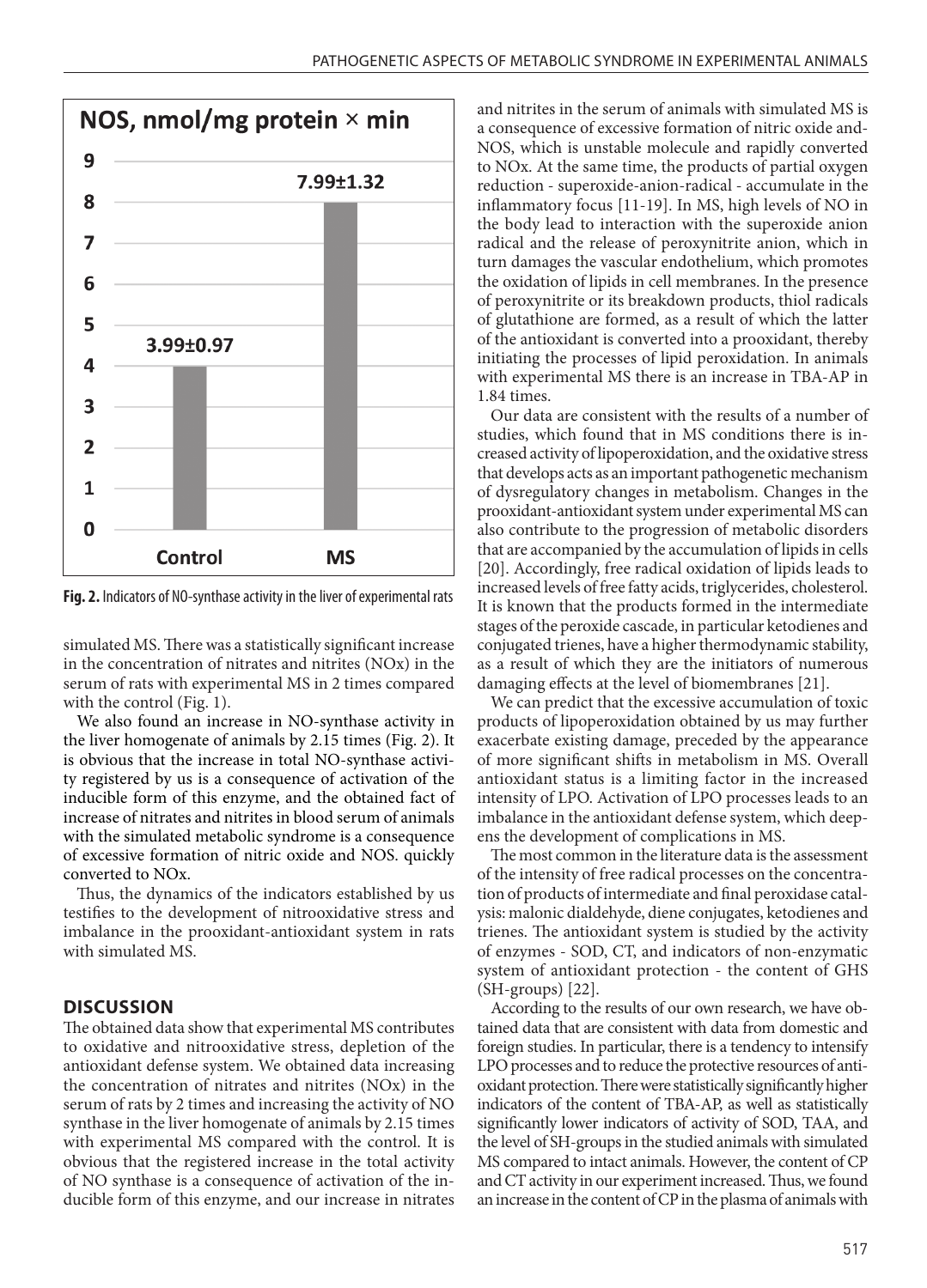

**Fig. 2.** Indicators of NO-synthase activity in the liver of experimental rats

simulated MS. There was a statistically significant increase in the concentration of nitrates and nitrites (NOx) in the serum of rats with experimental MS in 2 times compared with the control (Fig. 1).

We also found an increase in NO-synthase activity in the liver homogenate of animals by 2.15 times (Fig. 2). It is obvious that the increase in total NO-synthase activity registered by us is a consequence of activation of the inducible form of this enzyme, and the obtained fact of increase of nitrates and nitrites in blood serum of animals with the simulated metabolic syndrome is a consequence of excessive formation of nitric oxide and NOS. quickly converted to NOx.

Thus, the dynamics of the indicators established by us testifies to the development of nitrooxidative stress and imbalance in the prooxidant-antioxidant system in rats with simulated MS.

#### **DISCUSSION**

The obtained data show that experimental MS contributes to oxidative and nitrooxidative stress, depletion of the antioxidant defense system. We obtained data increasing the concentration of nitrates and nitrites (NOx) in the serum of rats by 2 times and increasing the activity of NO synthase in the liver homogenate of animals by 2.15 times with experimental MS compared with the control. It is obvious that the registered increase in the total activity of NO synthase is a consequence of activation of the inducible form of this enzyme, and our increase in nitrates and nitrites in the serum of animals with simulated MS is a consequence of excessive formation of nitric oxide and-NOS, which is unstable molecule and rapidly converted to NOx. At the same time, the products of partial oxygen reduction - superoxide-anion-radical - accumulate in the inflammatory focus [11-19]. In MS, high levels of NO in the body lead to interaction with the superoxide anion radical and the release of peroxynitrite anion, which in turn damages the vascular endothelium, which promotes the oxidation of lipids in cell membranes. In the presence of peroxynitrite or its breakdown products, thiol radicals of glutathione are formed, as a result of which the latter of the antioxidant is converted into a prooxidant, thereby initiating the processes of lipid peroxidation. In animals with experimental MS there is an increase in TBA-AP in 1.84 times.

Our data are consistent with the results of a number of studies, which found that in MS conditions there is increased activity of lipoperoxidation, and the oxidative stress that develops acts as an important pathogenetic mechanism of dysregulatory changes in metabolism. Changes in the prooxidant-antioxidant system under experimental MS can also contribute to the progression of metabolic disorders that are accompanied by the accumulation of lipids in cells [20]. Accordingly, free radical oxidation of lipids leads to increased levels of free fatty acids, triglycerides, cholesterol. It is known that the products formed in the intermediate stages of the peroxide cascade, in particular ketodienes and conjugated trienes, have a higher thermodynamic stability, as a result of which they are the initiators of numerous damaging effects at the level of biomembranes [21].

We can predict that the excessive accumulation of toxic products of lipoperoxidation obtained by us may further exacerbate existing damage, preceded by the appearance of more significant shifts in metabolism in MS. Overall antioxidant status is a limiting factor in the increased intensity of LPO. Activation of LPO processes leads to an imbalance in the antioxidant defense system, which deepens the development of complications in MS.

The most common in the literature data is the assessment of the intensity of free radical processes on the concentration of products of intermediate and final peroxidase catalysis: malonic dialdehyde, diene conjugates, ketodienes and trienes. The antioxidant system is studied by the activity of enzymes - SOD, CT, and indicators of non-enzymatic system of antioxidant protection - the content of GHS (SH-groups) [22].

According to the results of our own research, we have obtained data that are consistent with data from domestic and foreign studies. In particular, there is a tendency to intensify LPO processes and to reduce the protective resources of antioxidant protection. There were statistically significantly higher indicators of the content of TBA-AP, as well as statistically significantly lower indicators of activity of SOD, TAA, and the level of SH-groups in the studied animals with simulated MS compared to intact animals. However, the content of CP and CT activity in our experiment increased. Thus, we found an increase in the content of CP in the plasma of animals with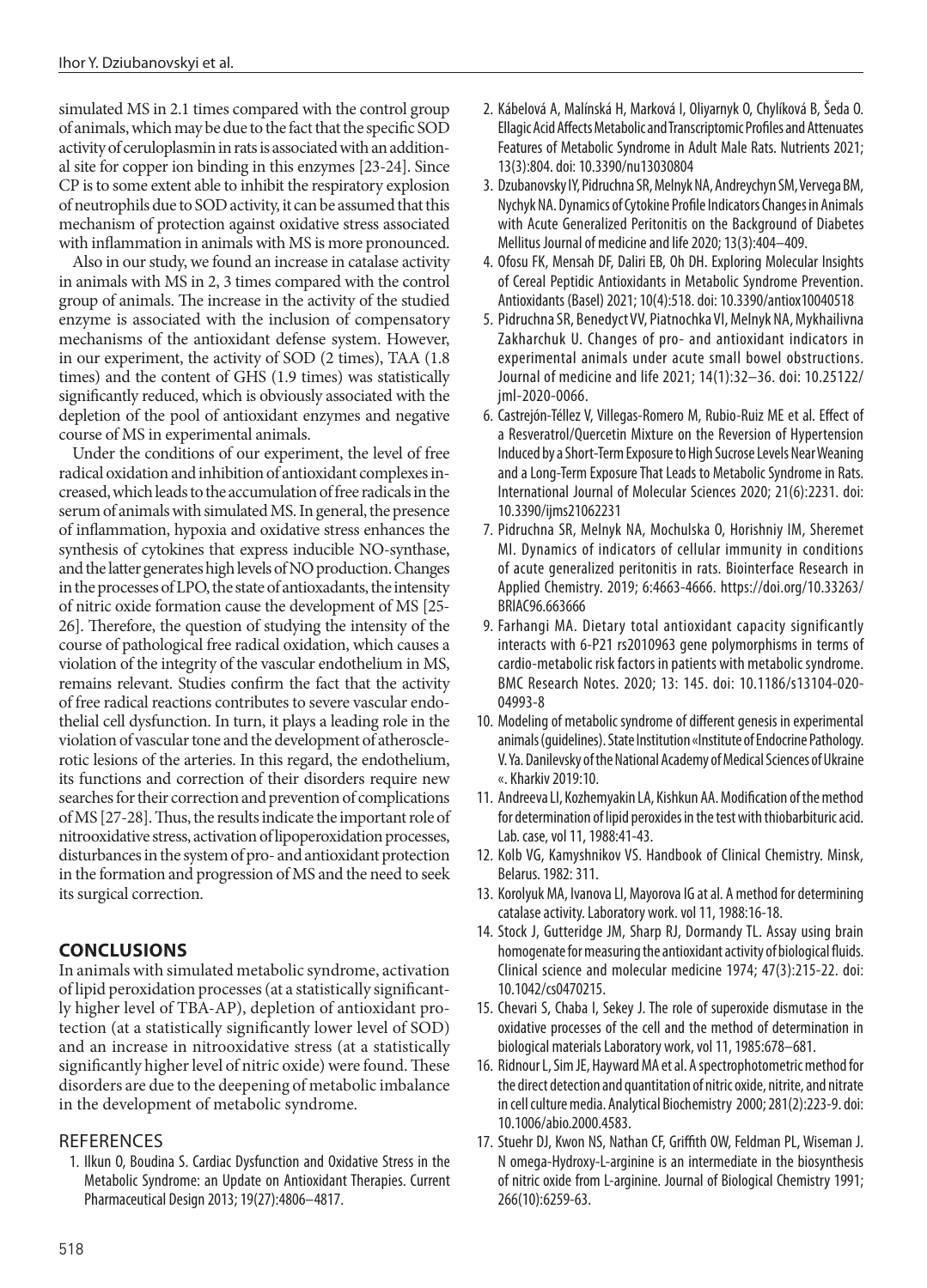simulated MS in 2.1 times compared with the control group of animals, which may be due to the fact that the specific SOD activity of ceruloplasmin in rats is associated with an additional site for copper ion binding in this enzymes [23-24]. Since CP is to some extent able to inhibit the respiratory explosion of neutrophils due to SOD activity, it can be assumed that this mechanism of protection against oxidative stress associated with inflammation in animals with MS is more pronounced.

Also in our study, we found an increase in catalase activity in animals with MS in 2, 3 times compared with the control group of animals. The increase in the activity of the studied enzyme is associated with the inclusion of compensatory mechanisms of the antioxidant defense system. However, in our experiment, the activity of SOD (2 times), TAA (1.8 times) and the content of GHS (1.9 times) was statistically significantly reduced, which is obviously associated with the depletion of the pool of antioxidant enzymes and negative course of MS in experimental animals.

Under the conditions of our experiment, the level of free radical oxidation and inhibition of antioxidant complexes increased, which leads to the accumulation of free radicals in the serum of animals with simulated MS. In general, the presence of inflammation, hypoxia and oxidative stress enhances the synthesis of cytokines that express inducible NO-synthase, and the latter generates high levels of NO production. Changes in the processes of LPO, the state of antioxadants, the intensity of nitric oxide formation cause the development of MS [25- 26]. Therefore, the question of studying the intensity of the course of pathological free radical oxidation, which causes a violation of the integrity of the vascular endothelium in MS, remains relevant. Studies confirm the fact that the activity of free radical reactions contributes to severe vascular endothelial cell dysfunction. In turn, it plays a leading role in the violation of vascular tone and the development of atherosclerotic lesions of the arteries. In this regard, the endothelium, its functions and correction of their disorders require new searches for their correction and prevention of complications of MS [27-28]. Thus, the results indicate the important role of nitrooxidative stress, activation of lipoperoxidation processes, disturbances in the system of pro- and antioxidant protection in the formation and progression of MS and the need to seek its surgical correction.

# **CONCLUSIONS**

In animals with simulated metabolic syndrome, activation of lipid peroxidation processes (at a statistically significantly higher level of TBA-AP), depletion of antioxidant protection (at a statistically significantly lower level of SOD) and an increase in nitrooxidative stress (at a statistically significantly higher level of nitric oxide) were found. These disorders are due to the deepening of metabolic imbalance in the development of metabolic syndrome.

# **REFERENCES**

1. Ilkun O, Boudina S. Cardiac Dysfunction and Oxidative Stress in the Metabolic Syndrome: an Update on Antioxidant Therapies. Current Pharmaceutical Design 2013; 19(27):4806–4817.

- 2. Kábelová A, Malínská H, Marková I, Oliyarnyk O, Chylíková B, Šeda O. Ellagic Acid Affects Metabolic and Transcriptomic Profiles and Attenuates Features of Metabolic Syndrome in Adult Male Rats. Nutrients 2021; 13(3):804. doi: 10.3390/nu13030804
- 3. Dzubanovsky IY, Pidruchna SR, Melnyk NA, Andreychyn SM, Vervega BM, Nychyk NA. Dynamics of Cytokine Profile Indicators Changes in Animals with Acute Generalized Peritonitis on the Background of Diabetes Mellitus Journal of medicine and life 2020; 13(3):404–409.
- 4. Ofosu FK, Mensah DF, Daliri EB, Oh DH. Exploring Molecular Insights of Cereal Peptidic Antioxidants in Metabolic Syndrome Prevention. Antioxidants (Basel) 2021; 10(4):518. doi: 10.3390/antiox10040518
- 5. Pidruchna SR, Benedyct VV, Piatnochka VI, Melnyk NA, Mykhailivna Zakharchuk U. Changes of pro- and antioxidant indicators in experimental animals under acute small bowel obstructions. Journal of medicine and life 2021; 14(1):32–36. doi: 10.25122/ jml-2020-0066.
- 6. Castrejón-Téllez V, Villegas-Romero M, Rubio-Ruiz ME et al. Effect of a Resveratrol/Quercetin Mixture on the Reversion of Hypertension Induced by a Short-Term Exposure to High Sucrose Levels Near Weaning and a Long-Term Exposure That Leads to Metabolic Syndrome in Rats. International Journal of Molecular Sciences 2020; 21(6):2231. doi: 10.3390/ijms21062231
- 7. Pidruchna SR, Melnyk NA, Mochulska O, Horishniy IM, Sheremet MI. Dynamics of indicators of cellular immunity in conditions of acute generalized peritonitis in rats. Biointerface Research in Applied Chemistry. 2019; 6:4663-4666. https://doi.org/10.33263/ BRIAC96.663666
- 9. Farhangi MA. Dietary total antioxidant capacity significantly interacts with 6-P21 rs2010963 gene polymorphisms in terms of cardio-metabolic risk factors in patients with metabolic syndrome. BMC Research Notes. 2020; 13: 145. doi: 10.1186/s13104-020- 04993-8
- 10. Modeling of metabolic syndrome of different genesis in experimental animals (guidelines). State Institution «Institute of Endocrine Pathology. V. Ya. Danilevsky of the National Academy of Medical Sciences of Ukraine «. Kharkiv 2019:10.
- 11. Andreeva LI, Kozhemyakin LA, Kishkun AA. Modification of the method for determination of lipid peroxides in the test with thiobarbituric acid. Lab. case, vol 11, 1988:41-43.
- 12. Kolb VG, Kamyshnikov VS. Handbook of Clinical Chemistry. Minsk, Belarus. 1982: 311.
- 13. Korolyuk MA, Ivanova LI, Mayorova IG at al. A method for determining catalase activity. Laboratory work. vol 11, 1988:16-18.
- 14. Stock J, Gutteridge JM, Sharp RJ, Dormandy TL. Assay using brain homogenate for measuring the antioxidant activity of biological fluids. Clinical science and molecular medicine 1974; 47(3):215-22. doi: 10.1042/cs0470215.
- 15. Chevari S, Chaba I, Sekey J. The role of superoxide dismutase in the oxidative processes of the cell and the method of determination in biological materials Laboratory work, vol 11, 1985:678–681.
- 16. Ridnour L, Sim JE, Hayward MA et al. A spectrophotometric method for the direct detection and quantitation of nitric oxide, nitrite, and nitrate in cell culture media. Analytical Biochemistry 2000; 281(2):223-9. doi: 10.1006/abio.2000.4583.
- 17. Stuehr DJ, Kwon NS, Nathan CF, Griffith OW, Feldman PL, Wiseman J. N omega-Hydroxy-L-arginine is an intermediate in the biosynthesis of nitric oxide from L-arginine. Journal of Biological Chemistry 1991; 266(10):6259-63.